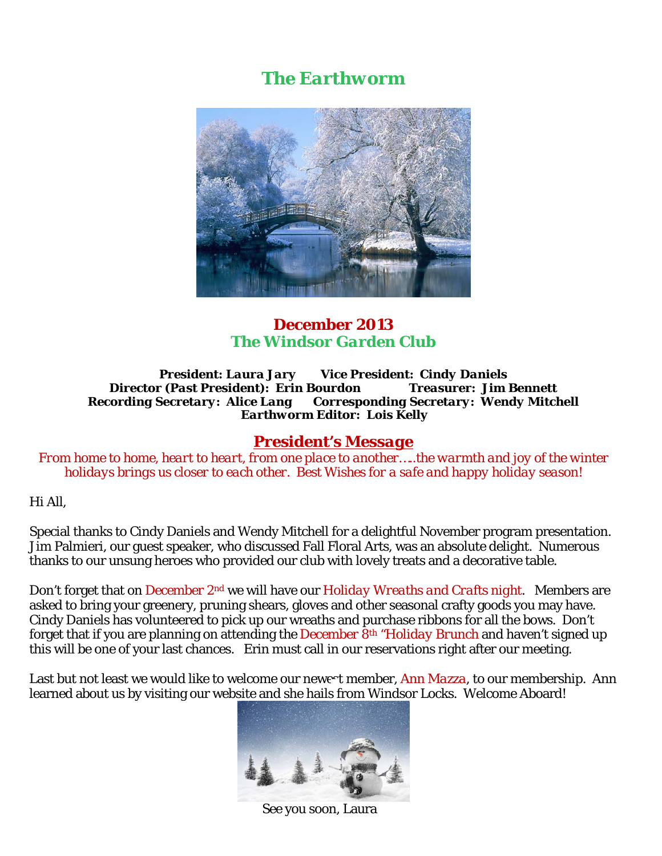# *The Earthworm*



### *December 2013 The Windsor Garden Club*

#### *President: Laura Jary Vice President: Cindy Daniels Director (Past President): Erin Bourdon Treasurer: Jim Bennett Recording Secretary: Alice Lang Corresponding Secretary: Wendy Mitchell Earthworm Editor: Lois Kelly*

### *President's Message*

*From home to home, heart to heart, from one place to another…..the warmth and joy of the winter holidays brings us closer to each other. Best Wishes for a safe and happy holiday season!* 

Hi All,

Special thanks to Cindy Daniels and Wendy Mitchell for a delightful November program presentation. Jim Palmieri, our guest speaker, who discussed Fall Floral Arts, was an absolute delight. Numerous thanks to our unsung heroes who provided our club with lovely treats and a decorative table.

Don't forget that on *December 2nd* we will have our *Holiday Wreaths and Crafts night*. Members are asked to bring your greenery, pruning shears, gloves and other seasonal crafty goods you may have. Cindy Daniels has volunteered to pick up our wreaths and purchase ribbons for all the bows. Don't forget that if you are planning on attending *the December 8th "Holiday Brunch* and haven't signed up this will be one of your last chances. Erin must call in our reservations right after our meeting.

Last but not least we would like to welcome our newest member, *Ann Mazza*, to our membership. Ann learned about us by visiting our website and she hails from Windsor Locks. Welcome Aboard!



See you soon, Laura